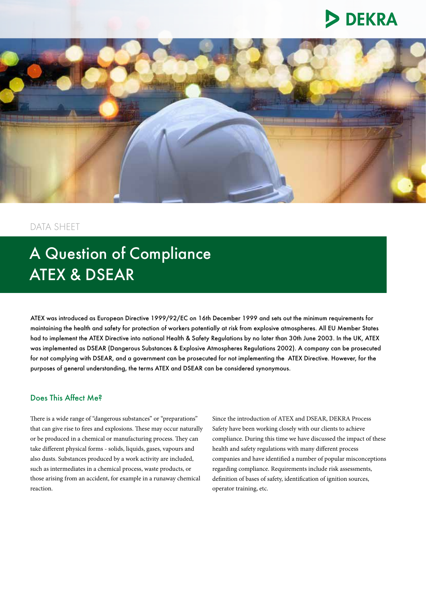# **DEKRA**



# DATA SHEET

# A Question of Compliance ATEX & DSEAR

ATEX was introduced as European Directive 1999/92/EC on 16th December 1999 and sets out the minimum requirements for maintaining the health and safety for protection of workers potentially at risk from explosive atmospheres. All EU Member States had to implement the ATEX Directive into national Health & Safety Regulations by no later than 30th June 2003. In the UK, ATEX was implemented as DSEAR (Dangerous Substances & Explosive Atmospheres Regulations 2002). A company can be prosecuted for not complying with DSEAR, and a government can be prosecuted for not implementing the ATEX Directive. However, for the purposes of general understanding, the terms ATEX and DSEAR can be considered synonymous.

# Does This Affect Me?

There is a wide range of "dangerous substances" or "preparations" that can give rise to fires and explosions. These may occur naturally or be produced in a chemical or manufacturing process. They can take different physical forms - solids, liquids, gases, vapours and also dusts. Substances produced by a work activity are included, such as intermediates in a chemical process, waste products, or those arising from an accident, for example in a runaway chemical reaction.

Since the introduction of ATEX and DSEAR, DEKRA Process Safety have been working closely with our clients to achieve compliance. During this time we have discussed the impact of these health and safety regulations with many different process companies and have identified a number of popular misconceptions regarding compliance. Requirements include risk assessments, definition of bases of safety, identification of ignition sources, operator training, etc.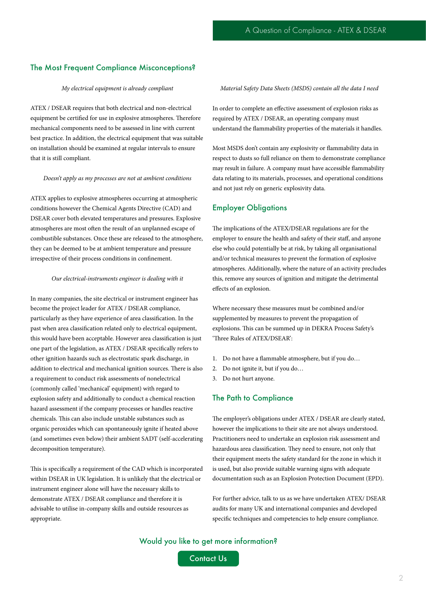## The Most Frequent Compliance Misconceptions?

#### *My electrical equipment is already compliant*

ATEX / DSEAR requires that both electrical and non-electrical equipment be certified for use in explosive atmospheres. Therefore mechanical components need to be assessed in line with current best practice. In addition, the electrical equipment that was suitable on installation should be examined at regular intervals to ensure that it is still compliant.

#### *Doesn't apply as my processes are not at ambient conditions*

ATEX applies to explosive atmospheres occurring at atmospheric conditions however the Chemical Agents Directive (CAD) and DSEAR cover both elevated temperatures and pressures. Explosive atmospheres are most often the result of an unplanned escape of combustible substances. Once these are released to the atmosphere, they can be deemed to be at ambient temperature and pressure irrespective of their process conditions in confinement.

#### *Our electrical-instruments engineer is dealing with it*

In many companies, the site electrical or instrument engineer has become the project leader for ATEX / DSEAR compliance, particularly as they have experience of area classification. In the past when area classification related only to electrical equipment, this would have been acceptable. However area classification is just one part of the legislation, as ATEX / DSEAR specifically refers to other ignition hazards such as electrostatic spark discharge, in addition to electrical and mechanical ignition sources. There is also a requirement to conduct risk assessments of nonelectrical (commonly called 'mechanical' equipment) with regard to explosion safety and additionally to conduct a chemical reaction hazard assessment if the company processes or handles reactive chemicals. This can also include unstable substances such as organic peroxides which can spontaneously ignite if heated above (and sometimes even below) their ambient SADT (self-accelerating decomposition temperature).

This is specifically a requirement of the CAD which is incorporated within DSEAR in UK legislation. It is unlikely that the electrical or instrument engineer alone will have the necessary skills to demonstrate ATEX / DSEAR compliance and therefore it is advisable to utilise in-company skills and outside resources as appropriate.

*Material Safety Data Sheets (MSDS) contain all the data I need*

In order to complete an effective assessment of explosion risks as required by ATEX / DSEAR, an operating company must understand the flammability properties of the materials it handles.

Most MSDS don't contain any explosivity or flammability data in respect to dusts so full reliance on them to demonstrate compliance may result in failure. A company must have accessible flammability data relating to its materials, processes, and operational conditions and not just rely on generic explosivity data.

## Employer Obligations

The implications of the ATEX/DSEAR regulations are for the employer to ensure the health and safety of their staff, and anyone else who could potentially be at risk, by taking all organisational and/or technical measures to prevent the formation of explosive atmospheres. Additionally, where the nature of an activity precludes this, remove any sources of ignition and mitigate the detrimental effects of an explosion.

Where necessary these measures must be combined and/or supplemented by measures to prevent the propagation of explosions. This can be summed up in DEKRA Process Safety's 'Three Rules of ATEX/DSEAR':

- 1. Do not have a flammable atmosphere, but if you do…
- 2. Do not ignite it, but if you do…
- 3. Do not hurt anyone.

## The Path to Compliance

The employer's obligations under ATEX / DSEAR are clearly stated, however the implications to their site are not always understood. Practitioners need to undertake an explosion risk assessment and hazardous area classification. They need to ensure, not only that their equipment meets the safety standard for the zone in which it is used, but also provide suitable warning signs with adequate documentation such as an Explosion Protection Document (EPD).

For further advice, talk to us as we have undertaken ATEX/ DSEAR audits for many UK and international companies and developed specific techniques and competencies to help ensure compliance.

Would you like to get more information?

Contact Us